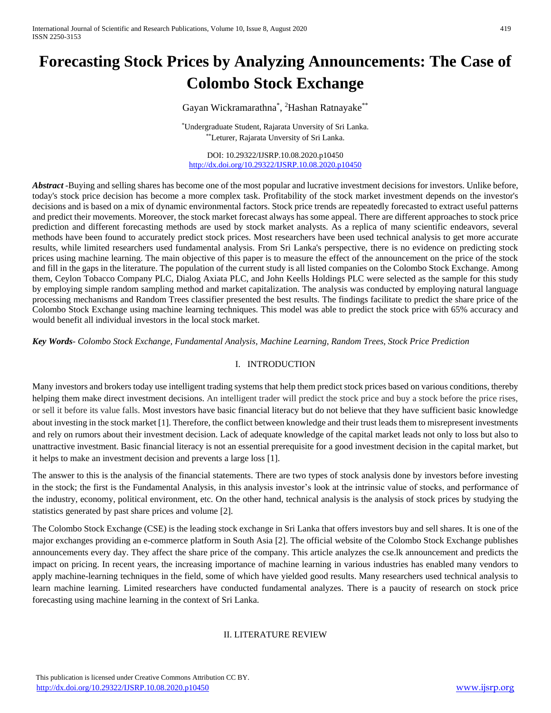# **Forecasting Stock Prices by Analyzing Announcements: The Case of Colombo Stock Exchange**

Gayan Wickramarathna\*, <sup>2</sup>Hashan Ratnayake\*\*

\*Undergraduate Student, Rajarata Unversity of Sri Lanka. \*\*Leturer, Rajarata Unversity of Sri Lanka.

DOI: 10.29322/IJSRP.10.08.2020.p10450 <http://dx.doi.org/10.29322/IJSRP.10.08.2020.p10450>

*Abstract* -Buying and selling shares has become one of the most popular and lucrative investment decisions for investors. Unlike before, today's stock price decision has become a more complex task. Profitability of the stock market investment depends on the investor's decisions and is based on a mix of dynamic environmental factors. Stock price trends are repeatedly forecasted to extract useful patterns and predict their movements. Moreover, the stock market forecast always has some appeal. There are different approaches to stock price prediction and different forecasting methods are used by stock market analysts. As a replica of many scientific endeavors, several methods have been found to accurately predict stock prices. Most researchers have been used technical analysis to get more accurate results, while limited researchers used fundamental analysis. From Sri Lanka's perspective, there is no evidence on predicting stock prices using machine learning. The main objective of this paper is to measure the effect of the announcement on the price of the stock and fill in the gaps in the literature. The population of the current study is all listed companies on the Colombo Stock Exchange. Among them, Ceylon Tobacco Company PLC, Dialog Axiata PLC, and John Keells Holdings PLC were selected as the sample for this study by employing simple random sampling method and market capitalization. The analysis was conducted by employing natural language processing mechanisms and Random Trees classifier presented the best results. The findings facilitate to predict the share price of the Colombo Stock Exchange using machine learning techniques. This model was able to predict the stock price with 65% accuracy and would benefit all individual investors in the local stock market.

*Key Words- Colombo Stock Exchange, Fundamental Analysis, Machine Learning, Random Trees, Stock Price Prediction*

# I. INTRODUCTION

Many investors and brokers today use intelligent trading systems that help them predict stock prices based on various conditions, thereby helping them make direct investment decisions. An intelligent trader will predict the stock price and buy a stock before the price rises, or sell it before its value falls. Most investors have basic financial literacy but do not believe that they have sufficient basic knowledge about investing in the stock market [1]. Therefore, the conflict between knowledge and their trust leads them to misrepresent investments and rely on rumors about their investment decision. Lack of adequate knowledge of the capital market leads not only to loss but also to unattractive investment. Basic financial literacy is not an essential prerequisite for a good investment decision in the capital market, but it helps to make an investment decision and prevents a large loss [1].

The answer to this is the analysis of the financial statements. There are two types of stock analysis done by investors before investing in the stock; the first is the Fundamental Analysis, in this analysis investor's look at the intrinsic value of stocks, and performance of the industry, economy, political environment, etc. On the other hand, technical analysis is the analysis of stock prices by studying the statistics generated by past share prices and volume [2].

The Colombo Stock Exchange (CSE) is the leading stock exchange in Sri Lanka that offers investors buy and sell shares. It is one of the major exchanges providing an e-commerce platform in South Asia [2]. The official website of the Colombo Stock Exchange publishes announcements every day. They affect the share price of the company. This article analyzes the cse.lk announcement and predicts the impact on pricing. In recent years, the increasing importance of machine learning in various industries has enabled many vendors to apply machine-learning techniques in the field, some of which have yielded good results. Many researchers used technical analysis to learn machine learning. Limited researchers have conducted fundamental analyzes. There is a paucity of research on stock price forecasting using machine learning in the context of Sri Lanka.

# II. LITERATURE REVIEW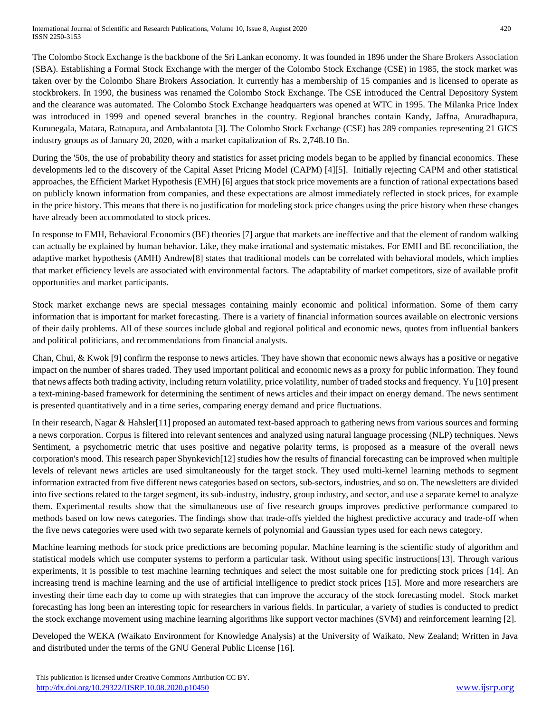The Colombo Stock Exchange is the backbone of the Sri Lankan economy. It was founded in 1896 under the Share Brokers Association (SBA). Establishing a Formal Stock Exchange with the merger of the Colombo Stock Exchange (CSE) in 1985, the stock market was taken over by the Colombo Share Brokers Association. It currently has a membership of 15 companies and is licensed to operate as stockbrokers. In 1990, the business was renamed the Colombo Stock Exchange. The CSE introduced the Central Depository System and the clearance was automated. The Colombo Stock Exchange headquarters was opened at WTC in 1995. The Milanka Price Index was introduced in 1999 and opened several branches in the country. Regional branches contain Kandy, Jaffna, Anuradhapura, Kurunegala, Matara, Ratnapura, and Ambalantota [3]. The Colombo Stock Exchange (CSE) has 289 companies representing 21 GICS industry groups as of January 20, 2020, with a market capitalization of Rs. 2,748.10 Bn.

During the '50s, the use of probability theory and statistics for asset pricing models began to be applied by financial economics. These developments led to the discovery of the Capital Asset Pricing Model (CAPM) [4][5]. Initially rejecting CAPM and other statistical approaches, the Efficient Market Hypothesis (EMH) [6] argues that stock price movements are a function of rational expectations based on publicly known information from companies, and these expectations are almost immediately reflected in stock prices, for example in the price history. This means that there is no justification for modeling stock price changes using the price history when these changes have already been accommodated to stock prices.

In response to EMH, Behavioral Economics (BE) theories [7] argue that markets are ineffective and that the element of random walking can actually be explained by human behavior. Like, they make irrational and systematic mistakes. For EMH and BE reconciliation, the adaptive market hypothesis (AMH) Andrew[8] states that traditional models can be correlated with behavioral models, which implies that market efficiency levels are associated with environmental factors. The adaptability of market competitors, size of available profit opportunities and market participants.

Stock market exchange news are special messages containing mainly economic and political information. Some of them carry information that is important for market forecasting. There is a variety of financial information sources available on electronic versions of their daily problems. All of these sources include global and regional political and economic news, quotes from influential bankers and political politicians, and recommendations from financial analysts.

Chan, Chui, & Kwok [9] confirm the response to news articles. They have shown that economic news always has a positive or negative impact on the number of shares traded. They used important political and economic news as a proxy for public information. They found that news affects both trading activity, including return volatility, price volatility, number of traded stocks and frequency. Yu [10] present a text-mining-based framework for determining the sentiment of news articles and their impact on energy demand. The news sentiment is presented quantitatively and in a time series, comparing energy demand and price fluctuations.

In their research, Nagar & Hahsler[11] proposed an automated text-based approach to gathering news from various sources and forming a news corporation. Corpus is filtered into relevant sentences and analyzed using natural language processing (NLP) techniques. News Sentiment, a psychometric metric that uses positive and negative polarity terms, is proposed as a measure of the overall news corporation's mood. This research paper Shynkevich[12] studies how the results of financial forecasting can be improved when multiple levels of relevant news articles are used simultaneously for the target stock. They used multi-kernel learning methods to segment information extracted from five different news categories based on sectors, sub-sectors, industries, and so on. The newsletters are divided into five sections related to the target segment, its sub-industry, industry, group industry, and sector, and use a separate kernel to analyze them. Experimental results show that the simultaneous use of five research groups improves predictive performance compared to methods based on low news categories. The findings show that trade-offs yielded the highest predictive accuracy and trade-off when the five news categories were used with two separate kernels of polynomial and Gaussian types used for each news category.

Machine learning methods for stock price predictions are becoming popular. Machine learning is the scientific study of algorithm and statistical models which use computer systems to perform a particular task. Without using specific instructions[13]. Through various experiments, it is possible to test machine learning techniques and select the most suitable one for predicting stock prices [14]. An increasing trend is machine learning and the use of artificial intelligence to predict stock prices [15]. More and more researchers are investing their time each day to come up with strategies that can improve the accuracy of the stock forecasting model. Stock market forecasting has long been an interesting topic for researchers in various fields. In particular, a variety of studies is conducted to predict the stock exchange movement using machine learning algorithms like support vector machines (SVM) and reinforcement learning [2].

Developed the WEKA (Waikato Environment for Knowledge Analysis) at the University of Waikato, New Zealand; Written in Java and distributed under the terms of the GNU General Public License [16].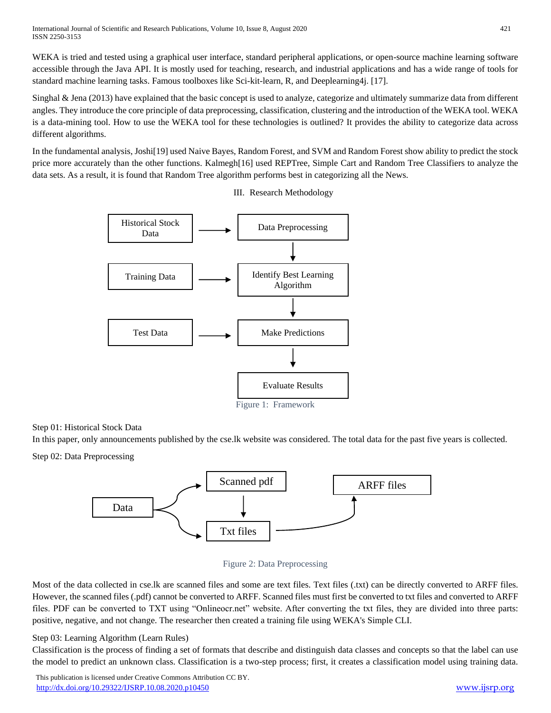WEKA is tried and tested using a graphical user interface, standard peripheral applications, or open-source machine learning software accessible through the Java API. It is mostly used for teaching, research, and industrial applications and has a wide range of tools for standard machine learning tasks. Famous toolboxes like Sci-kit-learn, R, and Deeplearning4j. [17].

Singhal & Jena (2013) have explained that the basic concept is used to analyze, categorize and ultimately summarize data from different angles. They introduce the core principle of data preprocessing, classification, clustering and the introduction of the WEKA tool. WEKA is a data-mining tool. How to use the WEKA tool for these technologies is outlined? It provides the ability to categorize data across different algorithms.

In the fundamental analysis, Joshi[19] used Naive Bayes, Random Forest, and SVM and Random Forest show ability to predict the stock price more accurately than the other functions. Kalmegh[16] used REPTree, Simple Cart and Random Tree Classifiers to analyze the data sets. As a result, it is found that Random Tree algorithm performs best in categorizing all the News.

III. Research Methodology



# Step 01: Historical Stock Data

In this paper, only announcements published by the cse.lk website was considered. The total data for the past five years is collected.

Step 02: Data Preprocessing





Most of the data collected in cse.lk are scanned files and some are text files. Text files (.txt) can be directly converted to ARFF files. However, the scanned files (.pdf) cannot be converted to ARFF. Scanned files must first be converted to txt files and converted to ARFF files. PDF can be converted to TXT using "Onlineocr.net" website. After converting the txt files, they are divided into three parts: positive, negative, and not change. The researcher then created a training file using WEKA's Simple CLI.

# Step 03: Learning Algorithm (Learn Rules)

Classification is the process of finding a set of formats that describe and distinguish data classes and concepts so that the label can use the model to predict an unknown class. Classification is a two-step process; first, it creates a classification model using training data.

 This publication is licensed under Creative Commons Attribution CC BY. <http://dx.doi.org/10.29322/IJSRP.10.08.2020.p10450> [www.ijsrp.org](http://ijsrp.org/)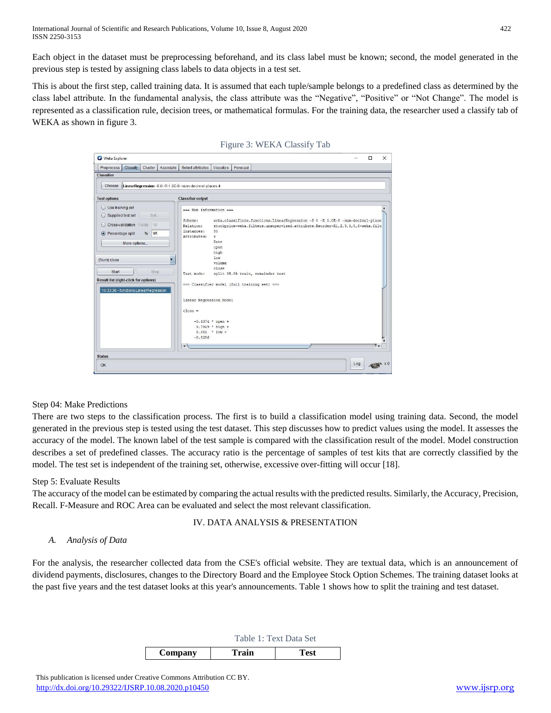Each object in the dataset must be preprocessing beforehand, and its class label must be known; second, the model generated in the previous step is tested by assigning class labels to data objects in a test set.

This is about the first step, called training data. It is assumed that each tuple/sample belongs to a predefined class as determined by the class label attribute. In the fundamental analysis, the class attribute was the "Negative", "Positive" or "Not Change". The model is represented as a classification rule, decision trees, or mathematical formulas. For the training data, the researcher used a classify tab of WEKA as shown in figure 3.



#### Figure 3: WEKA Classify Tab

# Step 04: Make Predictions

There are two steps to the classification process. The first is to build a classification model using training data. Second, the model generated in the previous step is tested using the test dataset. This step discusses how to predict values using the model. It assesses the accuracy of the model. The known label of the test sample is compared with the classification result of the model. Model construction describes a set of predefined classes. The accuracy ratio is the percentage of samples of test kits that are correctly classified by the model. The test set is independent of the training set, otherwise, excessive over-fitting will occur [18].

#### Step 5: Evaluate Results

The accuracy of the model can be estimated by comparing the actual results with the predicted results. Similarly, the Accuracy, Precision, Recall. F-Measure and ROC Area can be evaluated and select the most relevant classification.

## IV. DATA ANALYSIS & PRESENTATION

# *A. Analysis of Data*

For the analysis, the researcher collected data from the CSE's official website. They are textual data, which is an announcement of dividend payments, disclosures, changes to the Directory Board and the Employee Stock Option Schemes. The training dataset looks at the past five years and the test dataset looks at this year's announcements. Table 1 shows how to split the training and test dataset.

Table 1: Text Data Set

|         | TAUIT I. TEAL DAIA DEL |      |  |  |
|---------|------------------------|------|--|--|
| Company | Train                  | Test |  |  |
|         |                        |      |  |  |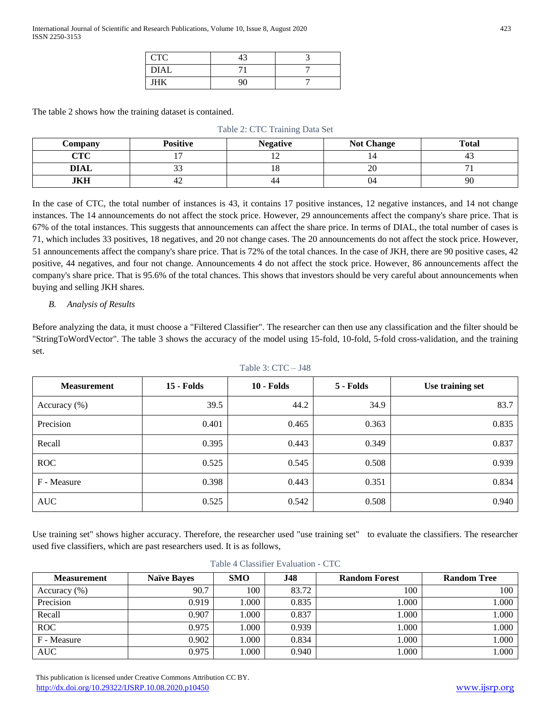| $\Gamma$<br>UIU | $\sim$<br>᠇ |  |
|-----------------|-------------|--|
| <b>DIAL</b>     |             |  |
| ШV              |             |  |

The table 2 shows how the training dataset is contained.

| Table 2: CTC Training Data Set |                 |                 |                   |              |
|--------------------------------|-----------------|-----------------|-------------------|--------------|
| Company                        | <b>Positive</b> | <b>Negative</b> | <b>Not Change</b> | <b>Total</b> |
| CTC                            |                 |                 |                   |              |
| <b>DIAL</b>                    |                 |                 | 20                |              |
| JKH                            |                 | 44              | 04                | 90           |

In the case of CTC, the total number of instances is 43, it contains 17 positive instances, 12 negative instances, and 14 not change instances. The 14 announcements do not affect the stock price. However, 29 announcements affect the company's share price. That is 67% of the total instances. This suggests that announcements can affect the share price. In terms of DIAL, the total number of cases is 71, which includes 33 positives, 18 negatives, and 20 not change cases. The 20 announcements do not affect the stock price. However, 51 announcements affect the company's share price. That is 72% of the total chances. In the case of JKH, there are 90 positive cases, 42 positive, 44 negatives, and four not change. Announcements 4 do not affect the stock price. However, 86 announcements affect the company's share price. That is 95.6% of the total chances. This shows that investors should be very careful about announcements when buying and selling JKH shares.

# *B. Analysis of Results*

Before analyzing the data, it must choose a "Filtered Classifier". The researcher can then use any classification and the filter should be "StringToWordVector". The table 3 shows the accuracy of the model using 15-fold, 10-fold, 5-fold cross-validation, and the training set.

| Table 3: $CTC - J48$ |                   |              |           |                  |
|----------------------|-------------------|--------------|-----------|------------------|
| <b>Measurement</b>   | <b>15 - Folds</b> | $10 -$ Folds | 5 - Folds | Use training set |
| Accuracy $(\%)$      | 39.5              | 44.2         | 34.9      | 83.7             |
| Precision            | 0.401             | 0.465        | 0.363     | 0.835            |
| Recall               | 0.395             | 0.443        | 0.349     | 0.837            |
| <b>ROC</b>           | 0.525             | 0.545        | 0.508     | 0.939            |
| F - Measure          | 0.398             | 0.443        | 0.351     | 0.834            |
| <b>AUC</b>           | 0.525             | 0.542        | 0.508     | 0.940            |

Use training set" shows higher accuracy. Therefore, the researcher used "use training set" to evaluate the classifiers. The researcher used five classifiers, which are past researchers used. It is as follows,

| <b>Measurement</b> | <b>Naïve Bayes</b> | <b>SMO</b> | <b>J48</b> | <b>Random Forest</b> | <b>Random Tree</b> |
|--------------------|--------------------|------------|------------|----------------------|--------------------|
| Accuracy $(\% )$   | 90.7               | 100        | 83.72      | 100                  | 100                |
| Precision          | 0.919              | .000.      | 0.835      | 1.000                | 1.000              |
| Recall             | 0.907              | .000.      | 0.837      | 1.000                | 1.000              |
| <b>ROC</b>         | 0.975              | .000.      | 0.939      | 1.000                | 1.000              |
| F - Measure        | 0.902              | .000       | 0.834      | 1.000                | 1.000              |
| <b>AUC</b>         | 0.975              | .000.      | 0.940      | 1.000                | 1.000              |

|  |  | Table 4 Classifier Evaluation - CTC |  |
|--|--|-------------------------------------|--|
|--|--|-------------------------------------|--|

 This publication is licensed under Creative Commons Attribution CC BY. <http://dx.doi.org/10.29322/IJSRP.10.08.2020.p10450> [www.ijsrp.org](http://ijsrp.org/)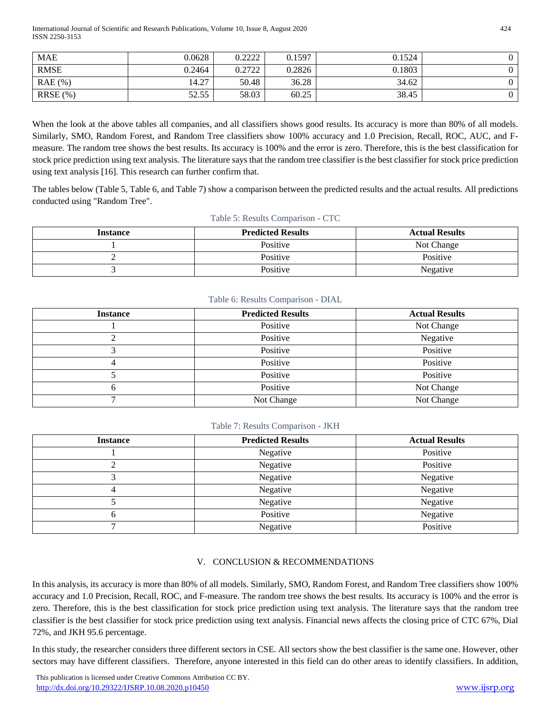International Journal of Scientific and Research Publications, Volume 10, Issue 8, August 2020 424 ISSN 2250-3153

| <b>MAE</b>  | 0.0628 | 0.222<br>9.4444  | 0.1597 | 0.1524 |  |
|-------------|--------|------------------|--------|--------|--|
| <b>RMSE</b> | 0.2464 | 0.2722<br>0.4744 | 0.2826 | 0.1803 |  |
| $RAE$ (%)   | 14.27  | 50.48            | 36.28  | 34.62  |  |
| $RRSE(\% )$ | 52.55  | 58.03            | 60.25  | 38.45  |  |

When the look at the above tables all companies, and all classifiers shows good results. Its accuracy is more than 80% of all models. Similarly, SMO, Random Forest, and Random Tree classifiers show 100% accuracy and 1.0 Precision, Recall, ROC, AUC, and Fmeasure. The random tree shows the best results. Its accuracy is 100% and the error is zero. Therefore, this is the best classification for stock price prediction using text analysis. The literature says that the random tree classifier is the best classifier for stock price prediction using text analysis [16]. This research can further confirm that.

The tables below (Table 5, Table 6, and Table 7) show a comparison between the predicted results and the actual results. All predictions conducted using "Random Tree".

| $10010$ $\sigma$ . Rebuild Computibon CrC |                          |                       |  |  |  |
|-------------------------------------------|--------------------------|-----------------------|--|--|--|
| <b>Instance</b>                           | <b>Predicted Results</b> | <b>Actual Results</b> |  |  |  |
|                                           | Positive                 | Not Change            |  |  |  |
|                                           | Positive                 | Positive              |  |  |  |
|                                           | Positive                 | Negative              |  |  |  |

#### Table 5: Results Comparison - CTC

## Table 6: Results Comparison - DIAL

| <b>Instance</b> | <b>Predicted Results</b> | <b>Actual Results</b> |
|-----------------|--------------------------|-----------------------|
|                 | Positive                 | Not Change            |
|                 | Positive                 | Negative              |
|                 | Positive                 | Positive              |
|                 | Positive                 | Positive              |
|                 | Positive                 | Positive              |
| n               | Positive                 | Not Change            |
|                 | Not Change               | Not Change            |

# Table 7: Results Comparison - JKH

| <b>Instance</b> | <b>Predicted Results</b> | <b>Actual Results</b> |
|-----------------|--------------------------|-----------------------|
|                 | Negative                 | Positive              |
|                 | Negative                 | Positive              |
|                 | Negative                 | Negative              |
|                 | Negative                 | Negative              |
|                 | Negative                 | Negative              |
|                 | Positive                 | Negative              |
|                 | Negative                 | Positive              |

#### V. CONCLUSION & RECOMMENDATIONS

In this analysis, its accuracy is more than 80% of all models. Similarly, SMO, Random Forest, and Random Tree classifiers show 100% accuracy and 1.0 Precision, Recall, ROC, and F-measure. The random tree shows the best results. Its accuracy is 100% and the error is zero. Therefore, this is the best classification for stock price prediction using text analysis. The literature says that the random tree classifier is the best classifier for stock price prediction using text analysis. Financial news affects the closing price of CTC 67%, Dial 72%, and JKH 95.6 percentage.

In this study, the researcher considers three different sectors in CSE. All sectors show the best classifier is the same one. However, other sectors may have different classifiers. Therefore, anyone interested in this field can do other areas to identify classifiers. In addition,

 This publication is licensed under Creative Commons Attribution CC BY. <http://dx.doi.org/10.29322/IJSRP.10.08.2020.p10450> [www.ijsrp.org](http://ijsrp.org/)